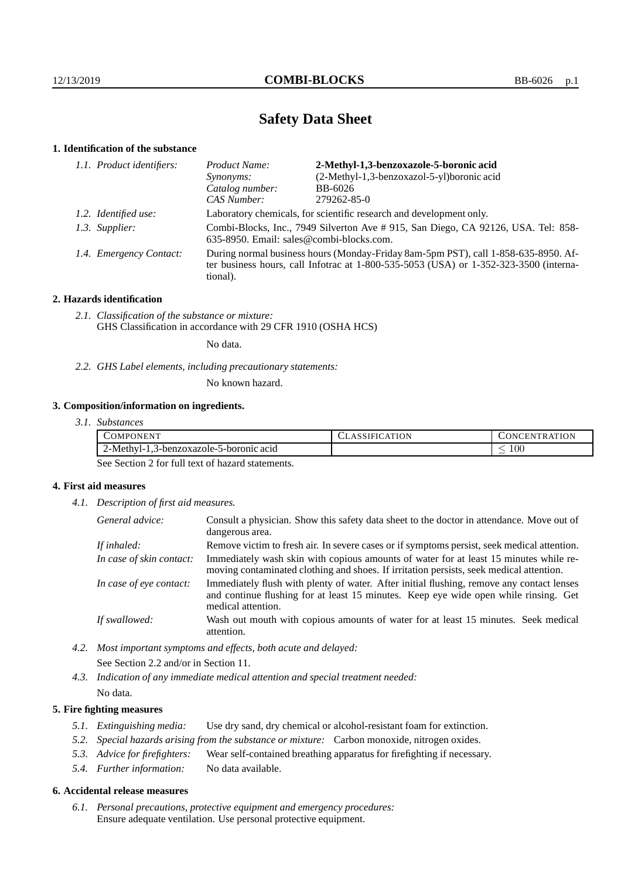# **Safety Data Sheet**

## **1. Identification of the substance**

| 1.1. Product identifiers: | 2-Methyl-1,3-benzoxazole-5-boronic acid<br>Product Name:                                                                                                                                |             |  |
|---------------------------|-----------------------------------------------------------------------------------------------------------------------------------------------------------------------------------------|-------------|--|
|                           | (2-Methyl-1,3-benzoxazol-5-yl)boronic acid<br>Synonyms:                                                                                                                                 |             |  |
|                           | Catalog number:                                                                                                                                                                         | BB-6026     |  |
|                           | CAS Number:                                                                                                                                                                             | 279262-85-0 |  |
| 1.2. Identified use:      | Laboratory chemicals, for scientific research and development only.                                                                                                                     |             |  |
| 1.3. Supplier:            | Combi-Blocks, Inc., 7949 Silverton Ave # 915, San Diego, CA 92126, USA. Tel: 858-<br>635-8950. Email: sales@combi-blocks.com.                                                           |             |  |
| 1.4. Emergency Contact:   | During normal business hours (Monday-Friday 8am-5pm PST), call 1-858-635-8950. Af-<br>ter business hours, call Infotrac at 1-800-535-5053 (USA) or 1-352-323-3500 (interna-<br>tional). |             |  |

## **2. Hazards identification**

*2.1. Classification of the substance or mixture:* GHS Classification in accordance with 29 CFR 1910 (OSHA HCS)

No data.

*2.2. GHS Label elements, including precautionary statements:*

No known hazard.

## **3. Composition/information on ingredients.**

| 3.1. Substances |  |
|-----------------|--|
|                 |  |

| .OMPO<br>'ONEN                                               | ATION<br>SIFIL | <b>TRATION</b><br>.en<br>1 N U |
|--------------------------------------------------------------|----------------|--------------------------------|
| 5-boronic acid<br>$\angle$ -Methyl-J<br>3-benzoxazole-:<br>ັ |                | $100\,$<br>_                   |

See Section 2 for full text of hazard statements.

## **4. First aid measures**

*4.1. Description of first aid measures.*

| General advice:          | Consult a physician. Show this safety data sheet to the doctor in attendance. Move out of<br>dangerous area.                                                                                            |
|--------------------------|---------------------------------------------------------------------------------------------------------------------------------------------------------------------------------------------------------|
| If inhaled:              | Remove victim to fresh air. In severe cases or if symptoms persist, seek medical attention.                                                                                                             |
| In case of skin contact: | Immediately wash skin with copious amounts of water for at least 15 minutes while re-<br>moving contaminated clothing and shoes. If irritation persists, seek medical attention.                        |
| In case of eye contact:  | Immediately flush with plenty of water. After initial flushing, remove any contact lenses<br>and continue flushing for at least 15 minutes. Keep eye wide open while rinsing. Get<br>medical attention. |
| If swallowed:            | Wash out mouth with copious amounts of water for at least 15 minutes. Seek medical<br>attention.                                                                                                        |

*4.2. Most important symptoms and effects, both acute and delayed:* See Section 2.2 and/or in Section 11.

*4.3. Indication of any immediate medical attention and special treatment needed:* No data.

## **5. Fire fighting measures**

- *5.1. Extinguishing media:* Use dry sand, dry chemical or alcohol-resistant foam for extinction.
- *5.2. Special hazards arising from the substance or mixture:* Carbon monoxide, nitrogen oxides.
- *5.3. Advice for firefighters:* Wear self-contained breathing apparatus for firefighting if necessary.
- *5.4. Further information:* No data available.

#### **6. Accidental release measures**

*6.1. Personal precautions, protective equipment and emergency procedures:* Ensure adequate ventilation. Use personal protective equipment.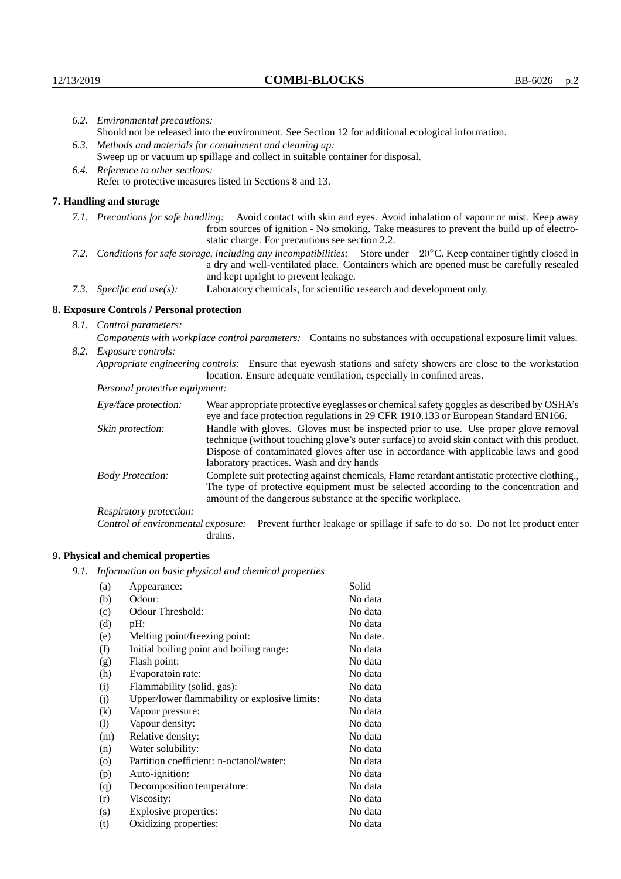|                                                                                                                                                                                        | 6.2. Environmental precautions:                                                                                                                                                                                                                                     |                                                                                                                                                                                                                                                                    |  |  |
|----------------------------------------------------------------------------------------------------------------------------------------------------------------------------------------|---------------------------------------------------------------------------------------------------------------------------------------------------------------------------------------------------------------------------------------------------------------------|--------------------------------------------------------------------------------------------------------------------------------------------------------------------------------------------------------------------------------------------------------------------|--|--|
|                                                                                                                                                                                        |                                                                                                                                                                                                                                                                     | Should not be released into the environment. See Section 12 for additional ecological information.                                                                                                                                                                 |  |  |
|                                                                                                                                                                                        | 6.3. Methods and materials for containment and cleaning up:                                                                                                                                                                                                         |                                                                                                                                                                                                                                                                    |  |  |
|                                                                                                                                                                                        | Sweep up or vacuum up spillage and collect in suitable container for disposal.                                                                                                                                                                                      |                                                                                                                                                                                                                                                                    |  |  |
|                                                                                                                                                                                        | 6.4. Reference to other sections:                                                                                                                                                                                                                                   |                                                                                                                                                                                                                                                                    |  |  |
|                                                                                                                                                                                        | Refer to protective measures listed in Sections 8 and 13.                                                                                                                                                                                                           |                                                                                                                                                                                                                                                                    |  |  |
|                                                                                                                                                                                        | 7. Handling and storage                                                                                                                                                                                                                                             |                                                                                                                                                                                                                                                                    |  |  |
|                                                                                                                                                                                        |                                                                                                                                                                                                                                                                     |                                                                                                                                                                                                                                                                    |  |  |
|                                                                                                                                                                                        |                                                                                                                                                                                                                                                                     | 7.1. Precautions for safe handling: Avoid contact with skin and eyes. Avoid inhalation of vapour or mist. Keep away<br>from sources of ignition - No smoking. Take measures to prevent the build up of electro-<br>static charge. For precautions see section 2.2. |  |  |
|                                                                                                                                                                                        | 7.2. Conditions for safe storage, including any incompatibilities: Store under $-20^{\circ}$ C. Keep container tightly closed in<br>a dry and well-ventilated place. Containers which are opened must be carefully resealed<br>and kept upright to prevent leakage. |                                                                                                                                                                                                                                                                    |  |  |
|                                                                                                                                                                                        | 7.3. Specific end use(s):                                                                                                                                                                                                                                           | Laboratory chemicals, for scientific research and development only.                                                                                                                                                                                                |  |  |
|                                                                                                                                                                                        | 8. Exposure Controls / Personal protection                                                                                                                                                                                                                          |                                                                                                                                                                                                                                                                    |  |  |
|                                                                                                                                                                                        | 8.1. Control parameters:                                                                                                                                                                                                                                            |                                                                                                                                                                                                                                                                    |  |  |
|                                                                                                                                                                                        | Components with workplace control parameters: Contains no substances with occupational exposure limit values.                                                                                                                                                       |                                                                                                                                                                                                                                                                    |  |  |
|                                                                                                                                                                                        | 8.2. Exposure controls:                                                                                                                                                                                                                                             |                                                                                                                                                                                                                                                                    |  |  |
| Appropriate engineering controls: Ensure that eyewash stations and safety showers are close to the workstation<br>location. Ensure adequate ventilation, especially in confined areas. |                                                                                                                                                                                                                                                                     |                                                                                                                                                                                                                                                                    |  |  |
|                                                                                                                                                                                        | Personal protective equipment:                                                                                                                                                                                                                                      |                                                                                                                                                                                                                                                                    |  |  |
|                                                                                                                                                                                        | Eye/face protection:                                                                                                                                                                                                                                                | Wear appropriate protective eyeglasses or chemical safety goggles as described by OSHA's<br>eye and face protection regulations in 29 CFR 1910.133 or European Standard EN166.                                                                                     |  |  |
|                                                                                                                                                                                        | Skin protection:                                                                                                                                                                                                                                                    | Handle with gloves. Gloves must be inspected prior to use. Use proper glove removal                                                                                                                                                                                |  |  |

technique (without touching glove's outer surface) to avoid skin contact with this product. Dispose of contaminated gloves after use in accordance with applicable laws and good laboratory practices. Wash and dry hands

Body Protection: Complete suit protecting against chemicals, Flame retardant antistatic protective clothing., The type of protective equipment must be selected according to the concentration and amount of the dangerous substance at the specific workplace.

Respiratory protection:

Control of environmental exposure: Prevent further leakage or spillage if safe to do so. Do not let product enter drains.

# **9. Physical and chemical properties**

*9.1. Information on basic physical and chemical properties*

| (a)      | Appearance:                                   | Solid    |
|----------|-----------------------------------------------|----------|
| (b)      | Odour:                                        | No data  |
| (c)      | Odour Threshold:                              | No data  |
| (d)      | $pH$ :                                        | No data  |
| (e)      | Melting point/freezing point:                 | No date. |
| (f)      | Initial boiling point and boiling range:      | No data  |
| (g)      | Flash point:                                  | No data  |
| (h)      | Evaporatoin rate:                             | No data  |
| (i)      | Flammability (solid, gas):                    | No data  |
| (j)      | Upper/lower flammability or explosive limits: | No data  |
| $\rm(k)$ | Vapour pressure:                              | No data  |
| (1)      | Vapour density:                               | No data  |
| (m)      | Relative density:                             | No data  |
| (n)      | Water solubility:                             | No data  |
| $\circ$  | Partition coefficient: n-octanol/water:       | No data  |
| (p)      | Auto-ignition:                                | No data  |
| (q)      | Decomposition temperature:                    | No data  |
| (r)      | Viscosity:                                    | No data  |
| (s)      | Explosive properties:                         | No data  |
| (t)      | Oxidizing properties:                         | No data  |